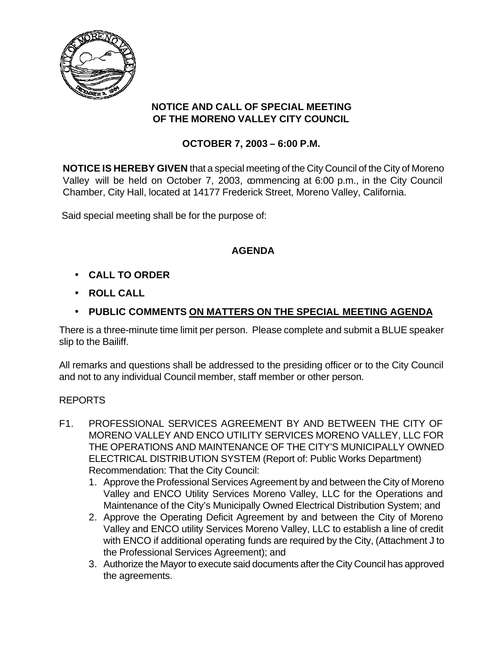

#### **NOTICE AND CALL OF SPECIAL MEETING OF THE MORENO VALLEY CITY COUNCIL**

## **OCTOBER 7, 2003 – 6:00 P.M.**

**NOTICE IS HEREBY GIVEN** that a special meeting of the City Council of the City of Moreno Valley will be held on October 7, 2003, commencing at 6:00 p.m., in the City Council Chamber, City Hall, located at 14177 Frederick Street, Moreno Valley, California.

Said special meeting shall be for the purpose of:

# **AGENDA**

- **CALL TO ORDER**
- **ROLL CALL**
- **PUBLIC COMMENTS ON MATTERS ON THE SPECIAL MEETING AGENDA**

There is a three-minute time limit per person. Please complete and submit a BLUE speaker slip to the Bailiff.

All remarks and questions shall be addressed to the presiding officer or to the City Council and not to any individual Council member, staff member or other person.

### REPORTS

- F1. PROFESSIONAL SERVICES AGREEMENT BY AND BETWEEN THE CITY OF MORENO VALLEY AND ENCO UTILITY SERVICES MORENO VALLEY, LLC FOR THE OPERATIONS AND MAINTENANCE OF THE CITY'S MUNICIPALLY OWNED ELECTRICAL DISTRIBUTION SYSTEM (Report of: Public Works Department) Recommendation: That the City Council:
	- 1. Approve the Professional Services Agreement by and between the City of Moreno Valley and ENCO Utility Services Moreno Valley, LLC for the Operations and Maintenance of the City's Municipally Owned Electrical Distribution System; and
	- 2. Approve the Operating Deficit Agreement by and between the City of Moreno Valley and ENCO utility Services Moreno Valley, LLC to establish a line of credit with ENCO if additional operating funds are required by the City, (Attachment J to the Professional Services Agreement); and
	- 3. Authorize the Mayor to execute said documents after the City Council has approved the agreements.